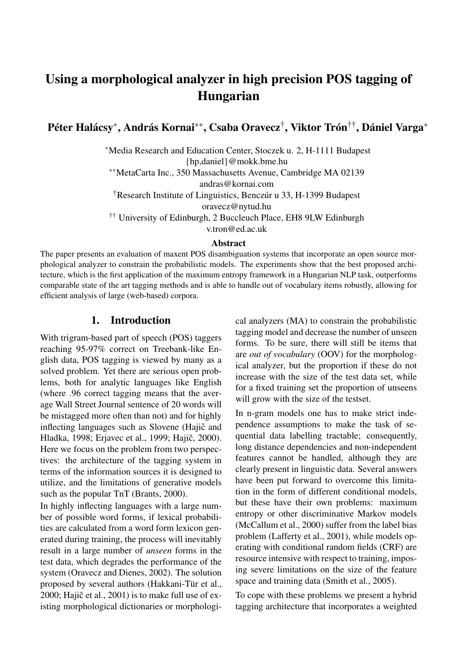# Using a morphological analyzer in high precision POS tagging of Hungarian

Péter Halácsy\*, András Kornai\*\*, Csaba Oravecz<sup>†</sup>, Viktor Trón<sup>††</sup>, Dániel Varga\*

<sup>∗</sup>Media Research and Education Center, Stoczek u. 2, H-1111 Budapest {hp,daniel}@mokk.bme.hu

∗∗MetaCarta Inc., 350 Massachusetts Avenue, Cambridge MA 02139

andras@kornai.com

†Research Institute of Linguistics, Benczúr u 33, H-1399 Budapest

oravecz@nytud.hu

†† University of Edinburgh, 2 Buccleuch Place, EH8 9LW Edinburgh

v.tron@ed.ac.uk

#### Abstract

The paper presents an evaluation of maxent POS disambiguation systems that incorporate an open source morphological analyzer to constrain the probabilistic models. The experiments show that the best proposed architecture, which is the first application of the maximum entropy framework in a Hungarian NLP task, outperforms comparable state of the art tagging methods and is able to handle out of vocabulary items robustly, allowing for efficient analysis of large (web-based) corpora.

#### 1. Introduction

With trigram-based part of speech (POS) taggers reaching 95-97% correct on Treebank-like English data, POS tagging is viewed by many as a solved problem. Yet there are serious open problems, both for analytic languages like English (where .96 correct tagging means that the average Wall Street Journal sentence of 20 words will be mistagged more often than not) and for highly inflecting languages such as Slovene (Hajič and Hladka, 1998; Erjavec et al., 1999; Hajič, 2000). Here we focus on the problem from two perspectives: the architecture of the tagging system in terms of the information sources it is designed to utilize, and the limitations of generative models such as the popular TnT (Brants, 2000).

In highly inflecting languages with a large number of possible word forms, if lexical probabilities are calculated from a word form lexicon generated during training, the process will inevitably result in a large number of *unseen* forms in the test data, which degrades the performance of the system (Oravecz and Dienes, 2002). The solution proposed by several authors (Hakkani-Tür et al., 2000; Hajič et al.,  $2001$ ) is to make full use of existing morphological dictionaries or morphological analyzers (MA) to constrain the probabilistic tagging model and decrease the number of unseen forms. To be sure, there will still be items that are *out of vocabulary* (OOV) for the morphological analyzer, but the proportion if these do not increase with the size of the test data set, while for a fixed training set the proportion of unseens will grow with the size of the testset.

In n-gram models one has to make strict independence assumptions to make the task of sequential data labelling tractable; consequently, long distance dependencies and non-independent features cannot be handled, although they are clearly present in linguistic data. Several answers have been put forward to overcome this limitation in the form of different conditional models, but these have their own problems: maximum entropy or other discriminative Markov models (McCallum et al., 2000) suffer from the label bias problem (Lafferty et al., 2001), while models operating with conditional random fields (CRF) are resource intensive with respect to training, imposing severe limitations on the size of the feature space and training data (Smith et al., 2005).

To cope with these problems we present a hybrid tagging architecture that incorporates a weighted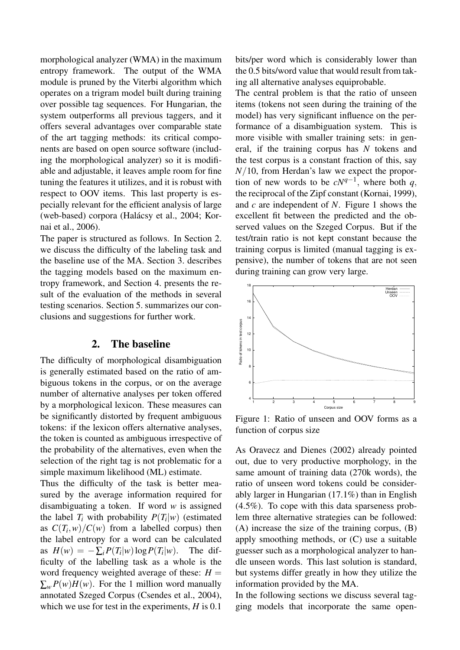morphological analyzer (WMA) in the maximum entropy framework. The output of the WMA module is pruned by the Viterbi algorithm which operates on a trigram model built during training over possible tag sequences. For Hungarian, the system outperforms all previous taggers, and it offers several advantages over comparable state of the art tagging methods: its critical components are based on open source software (including the morphological analyzer) so it is modifiable and adjustable, it leaves ample room for fine tuning the features it utilizes, and it is robust with respect to OOV items. This last property is especially relevant for the efficient analysis of large (web-based) corpora (Halácsy et al., 2004; Kornai et al., 2006).

The paper is structured as follows. In Section 2. we discuss the difficulty of the labeling task and the baseline use of the MA. Section 3. describes the tagging models based on the maximum entropy framework, and Section 4. presents the result of the evaluation of the methods in several testing scenarios. Section 5. summarizes our conclusions and suggestions for further work.

### 2. The baseline

The difficulty of morphological disambiguation is generally estimated based on the ratio of ambiguous tokens in the corpus, or on the average number of alternative analyses per token offered by a morphological lexicon. These measures can be significantly distorted by frequent ambiguous tokens: if the lexicon offers alternative analyses, the token is counted as ambiguous irrespective of the probability of the alternatives, even when the selection of the right tag is not problematic for a simple maximum likelihood (ML) estimate.

Thus the difficulty of the task is better measured by the average information required for disambiguating a token. If word *w* is assigned the label  $T_i$  with probability  $P(T_i|w)$  (estimated as  $C(T_i, w) / C(w)$  from a labelled corpus) then the label entropy for a word can be calculated as  $H(w) = -\sum_i P(T_i|w) \log P(T_i)$ |*w*). The difficulty of the labelling task as a whole is the word frequency weighted average of these:  $H =$  $\sum_{w} P(w)H(w)$ . For the 1 million word manually annotated Szeged Corpus (Csendes et al., 2004), which we use for test in the experiments, *H* is 0.1

bits/per word which is considerably lower than the 0.5 bits/word value that would result from taking all alternative analyses equiprobable.

The central problem is that the ratio of unseen items (tokens not seen during the training of the model) has very significant influence on the performance of a disambiguation system. This is more visible with smaller training sets: in general, if the training corpus has *N* tokens and the test corpus is a constant fraction of this, say *N*/10, from Herdan's law we expect the proportion of new words to be  $cN^{q-1}$ , where both q, the reciprocal of the Zipf constant (Kornai, 1999), and *c* are independent of *N*. Figure 1 shows the excellent fit between the predicted and the observed values on the Szeged Corpus. But if the test/train ratio is not kept constant because the training corpus is limited (manual tagging is expensive), the number of tokens that are not seen during training can grow very large.



Figure 1: Ratio of unseen and OOV forms as a function of corpus size

As Oravecz and Dienes (2002) already pointed out, due to very productive morphology, in the same amount of training data (270k words), the ratio of unseen word tokens could be considerably larger in Hungarian (17.1%) than in English (4.5%). To cope with this data sparseness problem three alternative strategies can be followed: (A) increase the size of the training corpus, (B) apply smoothing methods, or (C) use a suitable guesser such as a morphological analyzer to handle unseen words. This last solution is standard, but systems differ greatly in how they utilize the information provided by the MA.

In the following sections we discuss several tagging models that incorporate the same open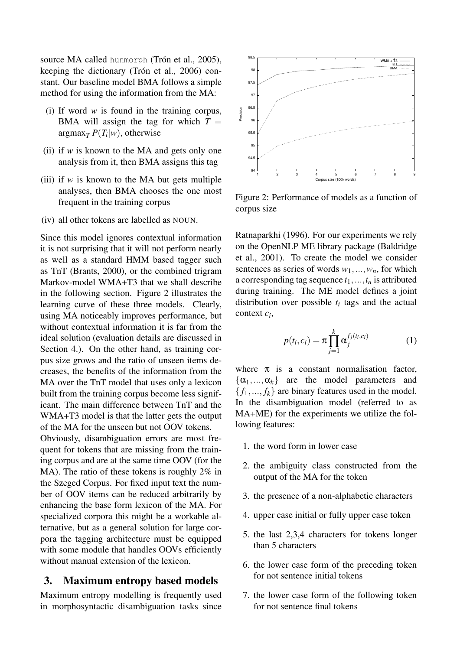source MA called hunmorph (Trón et al., 2005), keeping the dictionary (Trón et al., 2006) constant. Our baseline model BMA follows a simple method for using the information from the MA:

- (i) If word *w* is found in the training corpus, BMA will assign the tag for which  $T =$  $\argmax_{T} P(T_i|w)$ , otherwise
- (ii) if *w* is known to the MA and gets only one analysis from it, then BMA assigns this tag
- (iii) if  $w$  is known to the MA but gets multiple analyses, then BMA chooses the one most frequent in the training corpus
- (iv) all other tokens are labelled as NOUN.

Since this model ignores contextual information it is not surprising that it will not perform nearly as well as a standard HMM based tagger such as TnT (Brants, 2000), or the combined trigram Markov-model WMA+T3 that we shall describe in the following section. Figure 2 illustrates the learning curve of these three models. Clearly, using MA noticeably improves performance, but without contextual information it is far from the ideal solution (evaluation details are discussed in Section 4.). On the other hand, as training corpus size grows and the ratio of unseen items decreases, the benefits of the information from the MA over the TnT model that uses only a lexicon built from the training corpus become less significant. The main difference between TnT and the WMA+T3 model is that the latter gets the output of the MA for the unseen but not OOV tokens. Obviously, disambiguation errors are most frequent for tokens that are missing from the training corpus and are at the same time OOV (for the MA). The ratio of these tokens is roughly 2% in the Szeged Corpus. For fixed input text the number of OOV items can be reduced arbitrarily by enhancing the base form lexicon of the MA. For specialized corpora this might be a workable alternative, but as a general solution for large corpora the tagging architecture must be equipped with some module that handles OOVs efficiently without manual extension of the lexicon.

### 3. Maximum entropy based models

Maximum entropy modelling is frequently used in morphosyntactic disambiguation tasks since



Figure 2: Performance of models as a function of corpus size

Ratnaparkhi (1996). For our experiments we rely on the OpenNLP ME library package (Baldridge et al., 2001). To create the model we consider sentences as series of words  $w_1, \ldots, w_n$ , for which a corresponding tag sequence  $t_1, \ldots, t_n$  is attributed during training. The ME model defines a joint distribution over possible  $t_i$  tags and the actual context *c<sup>i</sup>* ,

$$
p(t_i, c_i) = \pi \prod_{j=1}^k \alpha_j^{f_j(t_i, c_i)}
$$
 (1)

where  $\pi$  is a constant normalisation factor,  $\{\alpha_1, ..., \alpha_k\}$  are the model parameters and  ${f_1,...,f_k}$  are binary features used in the model. In the disambiguation model (referred to as MA+ME) for the experiments we utilize the following features:

- 1. the word form in lower case
- 2. the ambiguity class constructed from the output of the MA for the token
- 3. the presence of a non-alphabetic characters
- 4. upper case initial or fully upper case token
- 5. the last 2,3,4 characters for tokens longer than 5 characters
- 6. the lower case form of the preceding token for not sentence initial tokens
- 7. the lower case form of the following token for not sentence final tokens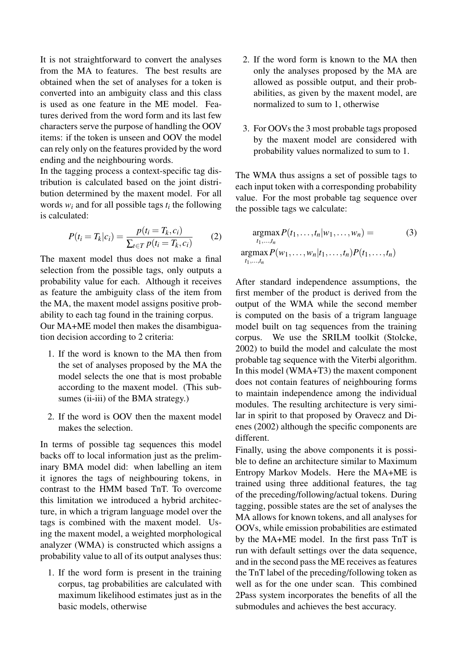It is not straightforward to convert the analyses from the MA to features. The best results are obtained when the set of analyses for a token is converted into an ambiguity class and this class is used as one feature in the ME model. Features derived from the word form and its last few characters serve the purpose of handling the OOV items: if the token is unseen and OOV the model can rely only on the features provided by the word ending and the neighbouring words.

In the tagging process a context-specific tag distribution is calculated based on the joint distribution determined by the maxent model. For all words  $w_i$  and for all possible tags  $t_i$  the following is calculated:

$$
P(t_i = T_k | c_i) = \frac{p(t_i = T_k, c_i)}{\sum_{t \in T} p(t_i = T_k, c_i)}
$$
(2)

The maxent model thus does not make a final selection from the possible tags, only outputs a probability value for each. Although it receives as feature the ambiguity class of the item from the MA, the maxent model assigns positive probability to each tag found in the training corpus. Our MA+ME model then makes the disambiguation decision according to 2 criteria:

- 1. If the word is known to the MA then from the set of analyses proposed by the MA the model selects the one that is most probable according to the maxent model. (This subsumes (ii-iii) of the BMA strategy.)
- 2. If the word is OOV then the maxent model makes the selection.

In terms of possible tag sequences this model backs off to local information just as the preliminary BMA model did: when labelling an item it ignores the tags of neighbouring tokens, in contrast to the HMM based TnT. To overcome this limitation we introduced a hybrid architecture, in which a trigram language model over the tags is combined with the maxent model. Using the maxent model, a weighted morphological analyzer (WMA) is constructed which assigns a probability value to all of its output analyses thus:

1. If the word form is present in the training corpus, tag probabilities are calculated with maximum likelihood estimates just as in the basic models, otherwise

- 2. If the word form is known to the MA then only the analyses proposed by the MA are allowed as possible output, and their probabilities, as given by the maxent model, are normalized to sum to 1, otherwise
- 3. For OOVs the 3 most probable tags proposed by the maxent model are considered with probability values normalized to sum to 1.

The WMA thus assigns a set of possible tags to each input token with a corresponding probability value. For the most probable tag sequence over the possible tags we calculate:

$$
\underset{t_1,\ldots,t_n}{\operatorname{argmax}} P(t_1,\ldots,t_n|w_1,\ldots,w_n) = (3)
$$
\n
$$
\underset{t_1,\ldots,t_n}{\operatorname{argmax}} P(w_1,\ldots,w_n|t_1,\ldots,t_n) P(t_1,\ldots,t_n)
$$

After standard independence assumptions, the first member of the product is derived from the output of the WMA while the second member is computed on the basis of a trigram language model built on tag sequences from the training corpus. We use the SRILM toolkit (Stolcke, 2002) to build the model and calculate the most probable tag sequence with the Viterbi algorithm. In this model (WMA+T3) the maxent component does not contain features of neighbouring forms to maintain independence among the individual modules. The resulting architecture is very similar in spirit to that proposed by Oravecz and Dienes (2002) although the specific components are different.

Finally, using the above components it is possible to define an architecture similar to Maximum Entropy Markov Models. Here the MA+ME is trained using three additional features, the tag of the preceding/following/actual tokens. During tagging, possible states are the set of analyses the MA allows for known tokens, and all analyses for OOVs, while emission probabilities are estimated by the MA+ME model. In the first pass TnT is run with default settings over the data sequence, and in the second pass the ME receives as features the TnT label of the preceding/following token as well as for the one under scan. This combined 2Pass system incorporates the benefits of all the submodules and achieves the best accuracy.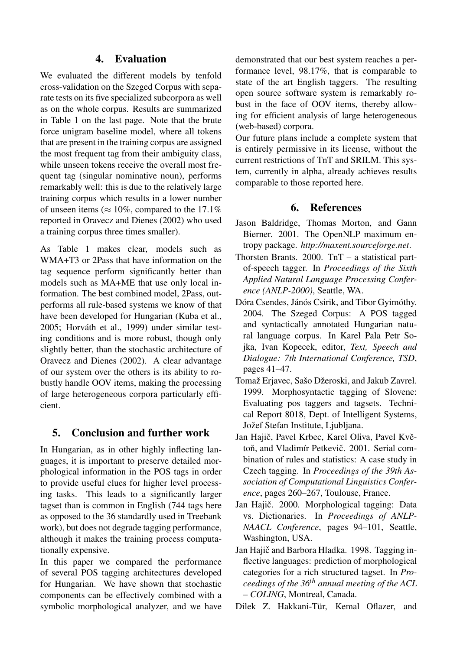## 4. Evaluation

We evaluated the different models by tenfold cross-validation on the Szeged Corpus with separate tests on its five specialized subcorpora as well as on the whole corpus. Results are summarized in Table 1 on the last page. Note that the brute force unigram baseline model, where all tokens that are present in the training corpus are assigned the most frequent tag from their ambiguity class, while unseen tokens receive the overall most frequent tag (singular nominative noun), performs remarkably well: this is due to the relatively large training corpus which results in a lower number of unseen items ( $\approx 10\%$ , compared to the 17.1% reported in Oravecz and Dienes (2002) who used a training corpus three times smaller).

As Table 1 makes clear, models such as WMA+T3 or 2Pass that have information on the tag sequence perform significantly better than models such as MA+ME that use only local information. The best combined model, 2Pass, outperforms all rule-based systems we know of that have been developed for Hungarian (Kuba et al., 2005; Horváth et al., 1999) under similar testing conditions and is more robust, though only slightly better, than the stochastic architecture of Oravecz and Dienes (2002). A clear advantage of our system over the others is its ability to robustly handle OOV items, making the processing of large heterogeneous corpora particularly efficient.

## 5. Conclusion and further work

In Hungarian, as in other highly inflecting languages, it is important to preserve detailed morphological information in the POS tags in order to provide useful clues for higher level processing tasks. This leads to a significantly larger tagset than is common in English (744 tags here as opposed to the 36 standardly used in Treebank work), but does not degrade tagging performance, although it makes the training process computationally expensive.

In this paper we compared the performance of several POS tagging architectures developed for Hungarian. We have shown that stochastic components can be effectively combined with a symbolic morphological analyzer, and we have demonstrated that our best system reaches a performance level, 98.17%, that is comparable to state of the art English taggers. The resulting open source software system is remarkably robust in the face of OOV items, thereby allowing for efficient analysis of large heterogeneous (web-based) corpora.

Our future plans include a complete system that is entirely permissive in its license, without the current restrictions of TnT and SRILM. This system, currently in alpha, already achieves results comparable to those reported here.

## 6. References

- Jason Baldridge, Thomas Morton, and Gann Bierner. 2001. The OpenNLP maximum entropy package. *http://maxent.sourceforge.net*.
- Thorsten Brants. 2000. TnT a statistical partof-speech tagger. In *Proceedings of the Sixth Applied Natural Language Processing Conference (ANLP-2000)*, Seattle, WA.
- Dóra Csendes, Jánós Csirik, and Tibor Gyimóthy. 2004. The Szeged Corpus: A POS tagged and syntactically annotated Hungarian natural language corpus. In Karel Pala Petr Sojka, Ivan Kopecek, editor, *Text, Speech and Dialogue: 7th International Conference, TSD*, pages 41–47.
- Tomaž Erjavec, Sašo Džeroski, and Jakub Zavrel. 1999. Morphosyntactic tagging of Slovene: Evaluating pos taggers and tagsets. Technical Report 8018, Dept. of Intelligent Systems, Jožef Stefan Institute, Ljubljana.
- Jan Hajič, Pavel Krbec, Karel Oliva, Pavel Květoň, and Vladimír Petkevič. 2001. Serial combination of rules and statistics: A case study in Czech tagging. In *Proceedings of the 39th Association of Computational Linguistics Conference*, pages 260–267, Toulouse, France.
- Jan Hajič. 2000. Morphological tagging: Data vs. Dictionaries. In *Proceedings of ANLP-NAACL Conference*, pages 94–101, Seattle, Washington, USA.
- Jan Hajič and Barbora Hladka. 1998. Tagging inflective languages: prediction of morphological categories for a rich structured tagset. In *Proceedings of the 36th annual meeting of the ACL – COLING*, Montreal, Canada.
- Dilek Z. Hakkani-Tür, Kemal Oflazer, and